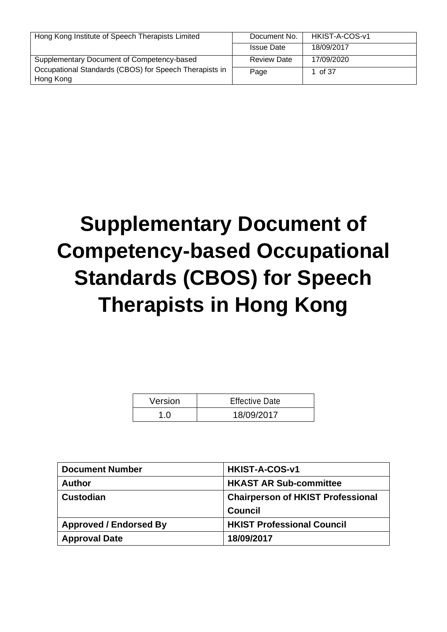| Hong Kong Institute of Speech Therapists Limited       | Document No.       | HKIST-A-COS-v1 |
|--------------------------------------------------------|--------------------|----------------|
|                                                        | <b>Issue Date</b>  | 18/09/2017     |
| Supplementary Document of Competency-based             | <b>Review Date</b> | 17/09/2020     |
| Occupational Standards (CBOS) for Speech Therapists in | Page               | 1 of 37        |
| Hong Kong                                              |                    |                |

# **Supplementary Document of Competency-based Occupational Standards (CBOS) for Speech Therapists in Hong Kong**

| Version | <b>Effective Date</b> |
|---------|-----------------------|
|         | 18/09/2017            |

| <b>Document Number</b>        | HKIST-A-COS-v1                           |  |
|-------------------------------|------------------------------------------|--|
| <b>Author</b>                 | <b>HKAST AR Sub-committee</b>            |  |
| <b>Custodian</b>              | <b>Chairperson of HKIST Professional</b> |  |
|                               | <b>Council</b>                           |  |
| <b>Approved / Endorsed By</b> | <b>HKIST Professional Council</b>        |  |
| <b>Approval Date</b>          | 18/09/2017                               |  |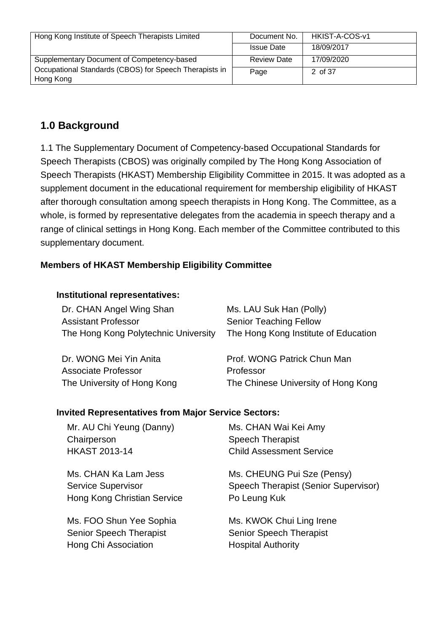| Hong Kong Institute of Speech Therapists Limited       | Document No.       | HKIST-A-COS-v1 |
|--------------------------------------------------------|--------------------|----------------|
|                                                        | <b>Issue Date</b>  | 18/09/2017     |
| Supplementary Document of Competency-based             | <b>Review Date</b> | 17/09/2020     |
| Occupational Standards (CBOS) for Speech Therapists in | Page               | 2 of 37        |
| Hong Kong                                              |                    |                |

# **1.0 Background**

1.1 The Supplementary Document of Competency-based Occupational Standards for Speech Therapists (CBOS) was originally compiled by The Hong Kong Association of Speech Therapists (HKAST) Membership Eligibility Committee in 2015. It was adopted as a supplement document in the educational requirement for membership eligibility of HKAST after thorough consultation among speech therapists in Hong Kong. The Committee, as a whole, is formed by representative delegates from the academia in speech therapy and a range of clinical settings in Hong Kong. Each member of the Committee contributed to this supplementary document.

#### **Members of HKAST Membership Eligibility Committee**

#### **Institutional representatives:**

| Dr. CHAN Angel Wing Shan             | Ms. LAU Suk Han (Polly)              |
|--------------------------------------|--------------------------------------|
| <b>Assistant Professor</b>           | <b>Senior Teaching Fellow</b>        |
| The Hong Kong Polytechnic University | The Hong Kong Institute of Education |
|                                      |                                      |
| Dr. WONG Mei Yin Anita               | Prof. WONG Patrick Chun Man          |
| Associate Professor                  | Professor                            |
| The University of Hong Kong          | The Chinese University of Hong Kong  |

#### **Invited Representatives from Major Service Sectors:**

| Mr. AU Chi Yeung (Danny)<br>Chairperson                                          | Ms. CHAN Wai Kei Amy<br><b>Speech Therapist</b>                                    |
|----------------------------------------------------------------------------------|------------------------------------------------------------------------------------|
| <b>HKAST 2013-14</b>                                                             | <b>Child Assessment Service</b>                                                    |
| Ms. CHAN Ka Lam Jess<br><b>Service Supervisor</b><br>Hong Kong Christian Service | Ms. CHEUNG Pui Sze (Pensy)<br>Speech Therapist (Senior Supervisor)<br>Po Leung Kuk |
| Ms. FOO Shun Yee Sophia                                                          | Ms. KWOK Chui Ling Irene                                                           |
| <b>Senior Speech Therapist</b>                                                   | <b>Senior Speech Therapist</b>                                                     |
| Hong Chi Association                                                             | <b>Hospital Authority</b>                                                          |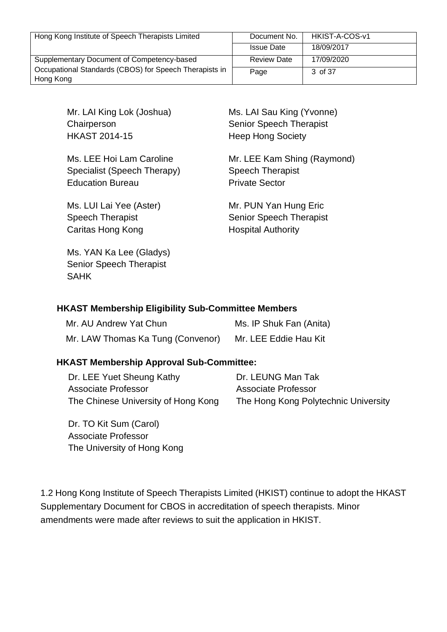| Hong Kong Institute of Speech Therapists Limited                    | Document No.       | HKIST-A-COS-v1 |
|---------------------------------------------------------------------|--------------------|----------------|
|                                                                     | <b>Issue Date</b>  | 18/09/2017     |
| Supplementary Document of Competency-based                          | <b>Review Date</b> | 17/09/2020     |
| Occupational Standards (CBOS) for Speech Therapists in<br>Hong Kong | Page               | 3 of 37        |

Mr. LAI King Lok (Joshua) **Chairperson** HKAST 2014-15

Ms. LEE Hoi Lam Caroline Specialist (Speech Therapy) Education Bureau

Ms. LUI Lai Yee (Aster) Speech Therapist Caritas Hong Kong

Ms. YAN Ka Lee (Gladys) Senior Speech Therapist SAHK

Ms. LAI Sau King (Yvonne) Senior Speech Therapist Heep Hong Society

Mr. LEE Kam Shing (Raymond) Speech Therapist Private Sector

Mr. PUN Yan Hung Eric Senior Speech Therapist Hospital Authority

#### **HKAST Membership Eligibility Sub-Committee Members**

| Mr. AU Andrew Yat Chun            | Ms. IP Shuk Fan (Anita) |
|-----------------------------------|-------------------------|
| Mr. LAW Thomas Ka Tung (Convenor) | Mr. LEE Eddie Hau Kit   |

#### **HKAST Membership Approval Sub-Committee:**

Dr. LEE Yuet Sheung Kathy Associate Professor The Chinese University of Hong Kong Dr. LEUNG Man Tak Associate Professor The Hong Kong Polytechnic University

Dr. TO Kit Sum (Carol) Associate Professor The University of Hong Kong

1.2 Hong Kong Institute of Speech Therapists Limited (HKIST) continue to adopt the HKAST Supplementary Document for CBOS in accreditation of speech therapists. Minor amendments were made after reviews to suit the application in HKIST.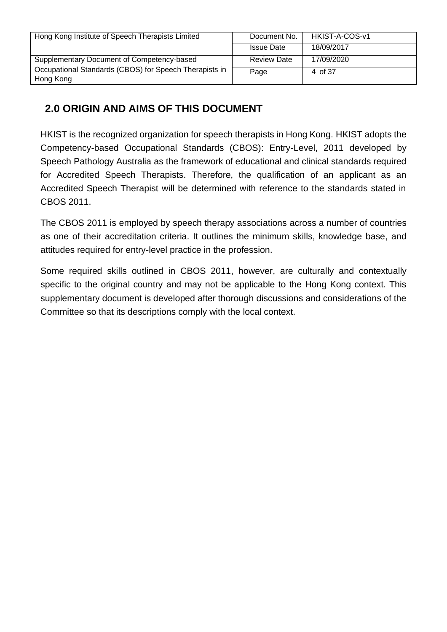| Hong Kong Institute of Speech Therapists Limited       | Document No.       | HKIST-A-COS-v1 |
|--------------------------------------------------------|--------------------|----------------|
|                                                        | <b>Issue Date</b>  | 18/09/2017     |
| Supplementary Document of Competency-based             | <b>Review Date</b> | 17/09/2020     |
| Occupational Standards (CBOS) for Speech Therapists in | Page               | 4 of 37        |
| Hong Kong                                              |                    |                |

# **2.0 ORIGIN AND AIMS OF THIS DOCUMENT**

HKIST is the recognized organization for speech therapists in Hong Kong. HKIST adopts the Competency-based Occupational Standards (CBOS): Entry-Level, 2011 developed by Speech Pathology Australia as the framework of educational and clinical standards required for Accredited Speech Therapists. Therefore, the qualification of an applicant as an Accredited Speech Therapist will be determined with reference to the standards stated in CBOS 2011.

The CBOS 2011 is employed by speech therapy associations across a number of countries as one of their accreditation criteria. It outlines the minimum skills, knowledge base, and attitudes required for entry-level practice in the profession.

Some required skills outlined in CBOS 2011, however, are culturally and contextually specific to the original country and may not be applicable to the Hong Kong context. This supplementary document is developed after thorough discussions and considerations of the Committee so that its descriptions comply with the local context.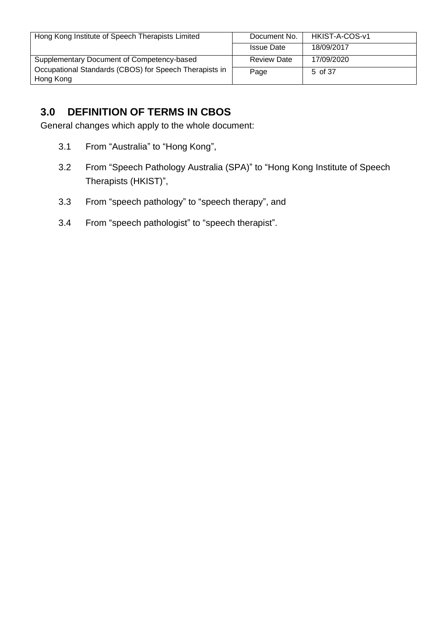| Hong Kong Institute of Speech Therapists Limited                    | Document No.       | HKIST-A-COS-v1 |
|---------------------------------------------------------------------|--------------------|----------------|
|                                                                     | <b>Issue Date</b>  | 18/09/2017     |
| Supplementary Document of Competency-based                          | <b>Review Date</b> | 17/09/2020     |
| Occupational Standards (CBOS) for Speech Therapists in<br>Hong Kong | Page               | 5 of 37        |

# **3.0 DEFINITION OF TERMS IN CBOS**

General changes which apply to the whole document:

- 3.1 From "Australia" to "Hong Kong",
- 3.2 From "Speech Pathology Australia (SPA)" to "Hong Kong Institute of Speech Therapists (HKIST)",
- 3.3 From "speech pathology" to "speech therapy", and
- 3.4 From "speech pathologist" to "speech therapist".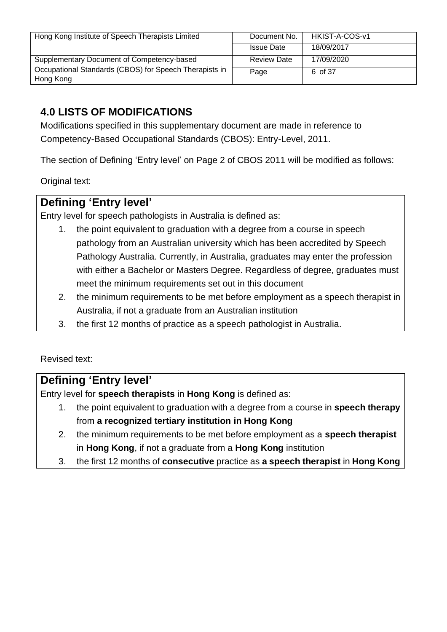| Hong Kong Institute of Speech Therapists Limited       | Document No.       | HKIST-A-COS-v1 |
|--------------------------------------------------------|--------------------|----------------|
|                                                        | <b>Issue Date</b>  | 18/09/2017     |
| Supplementary Document of Competency-based             | <b>Review Date</b> | 17/09/2020     |
| Occupational Standards (CBOS) for Speech Therapists in | Page               | 6 of 37        |
| Hong Kong                                              |                    |                |

# **4.0 LISTS OF MODIFICATIONS**

Modifications specified in this supplementary document are made in reference to Competency-Based Occupational Standards (CBOS): Entry-Level, 2011.

The section of Defining 'Entry level' on Page 2 of CBOS 2011 will be modified as follows:

Original text:

# **Defining 'Entry level'**

Entry level for speech pathologists in Australia is defined as:

- 1. the point equivalent to graduation with a degree from a course in speech pathology from an Australian university which has been accredited by Speech Pathology Australia. Currently, in Australia, graduates may enter the profession with either a Bachelor or Masters Degree. Regardless of degree, graduates must meet the minimum requirements set out in this document
- 2. the minimum requirements to be met before employment as a speech therapist in Australia, if not a graduate from an Australian institution
- 3. the first 12 months of practice as a speech pathologist in Australia.

Revised text:

# **Defining 'Entry level'**

Entry level for **speech therapists** in **Hong Kong** is defined as:

- 1. the point equivalent to graduation with a degree from a course in **speech therapy** from **a recognized tertiary institution in Hong Kong**
- 2. the minimum requirements to be met before employment as a **speech therapist** in **Hong Kong**, if not a graduate from a **Hong Kong** institution
- 3. the first 12 months of **consecutive** practice as **a speech therapist** in **Hong Kong**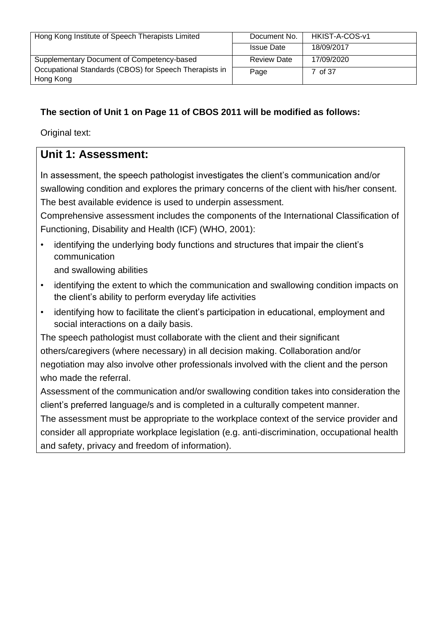| Hong Kong Institute of Speech Therapists Limited       | Document No.       | HKIST-A-COS-v1 |
|--------------------------------------------------------|--------------------|----------------|
|                                                        | <b>Issue Date</b>  | 18/09/2017     |
| Supplementary Document of Competency-based             | <b>Review Date</b> | 17/09/2020     |
| Occupational Standards (CBOS) for Speech Therapists in | Page               | 7 of 37        |
| Hong Kong                                              |                    |                |

## **The section of Unit 1 on Page 11 of CBOS 2011 will be modified as follows:**

Original text:

# **Unit 1: Assessment:**

In assessment, the speech pathologist investigates the client's communication and/or swallowing condition and explores the primary concerns of the client with his/her consent. The best available evidence is used to underpin assessment.

Comprehensive assessment includes the components of the International Classification of Functioning, Disability and Health (ICF) (WHO, 2001):

• identifying the underlying body functions and structures that impair the client's communication

and swallowing abilities

- identifying the extent to which the communication and swallowing condition impacts on the client's ability to perform everyday life activities
- identifying how to facilitate the client's participation in educational, employment and social interactions on a daily basis.

The speech pathologist must collaborate with the client and their significant others/caregivers (where necessary) in all decision making. Collaboration and/or negotiation may also involve other professionals involved with the client and the person who made the referral.

Assessment of the communication and/or swallowing condition takes into consideration the client's preferred language/s and is completed in a culturally competent manner.

The assessment must be appropriate to the workplace context of the service provider and consider all appropriate workplace legislation (e.g. anti-discrimination, occupational health and safety, privacy and freedom of information).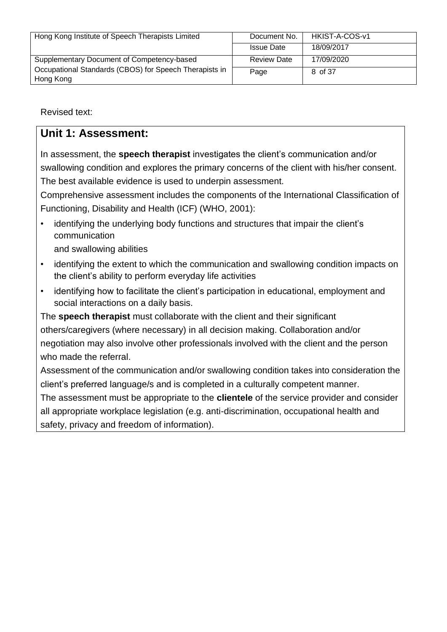| Hong Kong Institute of Speech Therapists Limited       | Document No.       | HKIST-A-COS-v1 |
|--------------------------------------------------------|--------------------|----------------|
|                                                        | <b>Issue Date</b>  | 18/09/2017     |
| Supplementary Document of Competency-based             | <b>Review Date</b> | 17/09/2020     |
| Occupational Standards (CBOS) for Speech Therapists in | Page               | 8 of 37        |
| Hong Kong                                              |                    |                |

Revised text:

# **Unit 1: Assessment:**

In assessment, the **speech therapist** investigates the client's communication and/or swallowing condition and explores the primary concerns of the client with his/her consent. The best available evidence is used to underpin assessment.

Comprehensive assessment includes the components of the International Classification of Functioning, Disability and Health (ICF) (WHO, 2001):

- identifying the underlying body functions and structures that impair the client's communication and swallowing abilities
- identifying the extent to which the communication and swallowing condition impacts on the client's ability to perform everyday life activities
- identifying how to facilitate the client's participation in educational, employment and social interactions on a daily basis.

The **speech therapist** must collaborate with the client and their significant others/caregivers (where necessary) in all decision making. Collaboration and/or negotiation may also involve other professionals involved with the client and the person who made the referral.

Assessment of the communication and/or swallowing condition takes into consideration the client's preferred language/s and is completed in a culturally competent manner.

The assessment must be appropriate to the **clientele** of the service provider and consider all appropriate workplace legislation (e.g. anti-discrimination, occupational health and safety, privacy and freedom of information).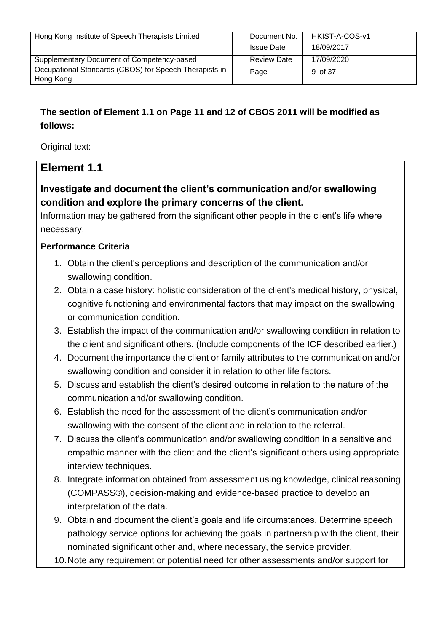| Hong Kong Institute of Speech Therapists Limited       | Document No.       | HKIST-A-COS-v1 |
|--------------------------------------------------------|--------------------|----------------|
|                                                        | <b>Issue Date</b>  | 18/09/2017     |
| Supplementary Document of Competency-based             | <b>Review Date</b> | 17/09/2020     |
| Occupational Standards (CBOS) for Speech Therapists in | Page               | 9 of 37        |
| Hong Kong                                              |                    |                |

# **The section of Element 1.1 on Page 11 and 12 of CBOS 2011 will be modified as follows:**

Original text:

# **Element 1.1**

**Investigate and document the client's communication and/or swallowing condition and explore the primary concerns of the client.**

Information may be gathered from the significant other people in the client's life where necessary.

#### **Performance Criteria**

- 1. Obtain the client's perceptions and description of the communication and/or swallowing condition.
- 2. Obtain a case history: holistic consideration of the client's medical history, physical, cognitive functioning and environmental factors that may impact on the swallowing or communication condition.
- 3. Establish the impact of the communication and/or swallowing condition in relation to the client and significant others. (Include components of the ICF described earlier.)
- 4. Document the importance the client or family attributes to the communication and/or swallowing condition and consider it in relation to other life factors.
- 5. Discuss and establish the client's desired outcome in relation to the nature of the communication and/or swallowing condition.
- 6. Establish the need for the assessment of the client's communication and/or swallowing with the consent of the client and in relation to the referral.
- 7. Discuss the client's communication and/or swallowing condition in a sensitive and empathic manner with the client and the client's significant others using appropriate interview techniques.
- 8. Integrate information obtained from assessment using knowledge, clinical reasoning (COMPASS®), decision-making and evidence-based practice to develop an interpretation of the data.
- 9. Obtain and document the client's goals and life circumstances. Determine speech pathology service options for achieving the goals in partnership with the client, their nominated significant other and, where necessary, the service provider.
- 10.Note any requirement or potential need for other assessments and/or support for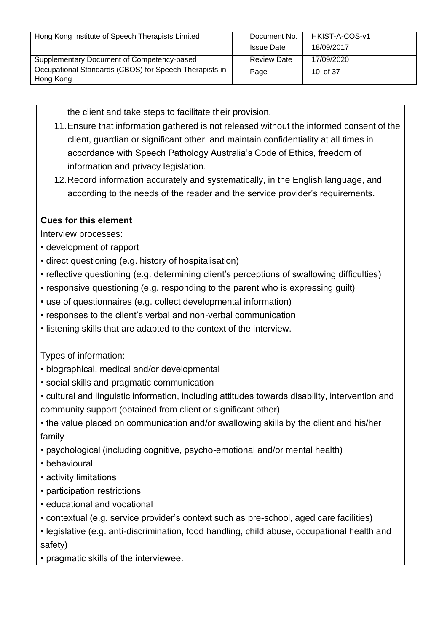| Hong Kong Institute of Speech Therapists Limited       | Document No.       | HKIST-A-COS-v1 |
|--------------------------------------------------------|--------------------|----------------|
|                                                        | <b>Issue Date</b>  | 18/09/2017     |
| Supplementary Document of Competency-based             | <b>Review Date</b> | 17/09/2020     |
| Occupational Standards (CBOS) for Speech Therapists in | Page               | 10 of 37       |
| Hong Kong                                              |                    |                |

the client and take steps to facilitate their provision.

- 11.Ensure that information gathered is not released without the informed consent of the client, guardian or significant other, and maintain confidentiality at all times in accordance with Speech Pathology Australia's Code of Ethics, freedom of information and privacy legislation.
- 12.Record information accurately and systematically, in the English language, and according to the needs of the reader and the service provider's requirements.

## **Cues for this element**

Interview processes:

- development of rapport
- direct questioning (e.g. history of hospitalisation)
- reflective questioning (e.g. determining client's perceptions of swallowing difficulties)
- responsive questioning (e.g. responding to the parent who is expressing guilt)
- use of questionnaires (e.g. collect developmental information)
- responses to the client's verbal and non-verbal communication
- listening skills that are adapted to the context of the interview.

Types of information:

- biographical, medical and/or developmental
- social skills and pragmatic communication
- cultural and linguistic information, including attitudes towards disability, intervention and community support (obtained from client or significant other)
- the value placed on communication and/or swallowing skills by the client and his/her family
- psychological (including cognitive, psycho-emotional and/or mental health)
- behavioural
- activity limitations
- participation restrictions
- educational and vocational
- contextual (e.g. service provider's context such as pre-school, aged care facilities)

• legislative (e.g. anti-discrimination, food handling, child abuse, occupational health and safety)

• pragmatic skills of the interviewee.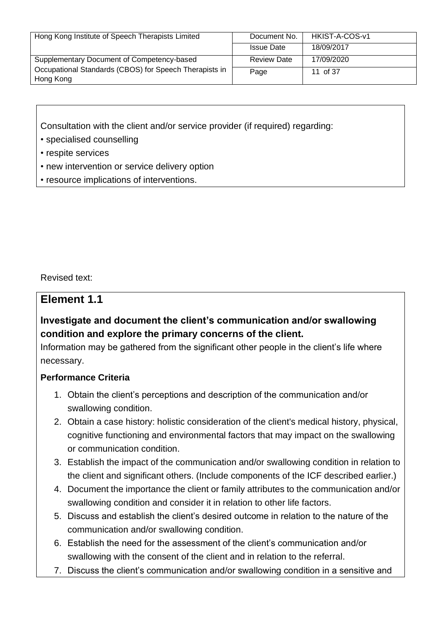| Hong Kong Institute of Speech Therapists Limited       | Document No.       | HKIST-A-COS-v1 |
|--------------------------------------------------------|--------------------|----------------|
|                                                        | <b>Issue Date</b>  | 18/09/2017     |
| Supplementary Document of Competency-based             | <b>Review Date</b> | 17/09/2020     |
| Occupational Standards (CBOS) for Speech Therapists in | Page               | 11 of 37       |
| Hong Kong                                              |                    |                |

Consultation with the client and/or service provider (if required) regarding:

- specialised counselling
- respite services
- new intervention or service delivery option
- resource implications of interventions.

Revised text:

## **Element 1.1**

## **Investigate and document the client's communication and/or swallowing condition and explore the primary concerns of the client.**

Information may be gathered from the significant other people in the client's life where necessary.

#### **Performance Criteria**

- 1. Obtain the client's perceptions and description of the communication and/or swallowing condition.
- 2. Obtain a case history: holistic consideration of the client's medical history, physical, cognitive functioning and environmental factors that may impact on the swallowing or communication condition.
- 3. Establish the impact of the communication and/or swallowing condition in relation to the client and significant others. (Include components of the ICF described earlier.)
- 4. Document the importance the client or family attributes to the communication and/or swallowing condition and consider it in relation to other life factors.
- 5. Discuss and establish the client's desired outcome in relation to the nature of the communication and/or swallowing condition.
- 6. Establish the need for the assessment of the client's communication and/or swallowing with the consent of the client and in relation to the referral.
- 7. Discuss the client's communication and/or swallowing condition in a sensitive and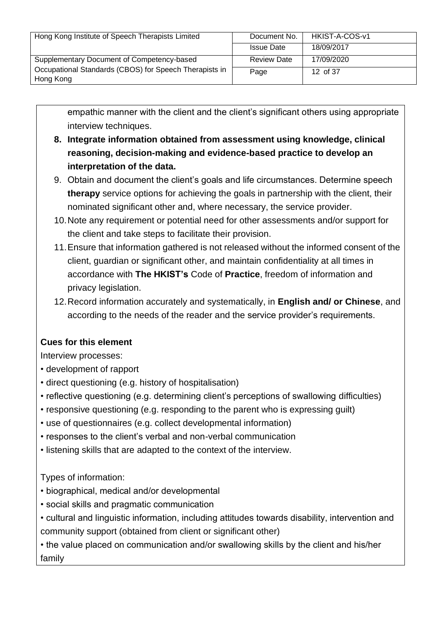| Hong Kong Institute of Speech Therapists Limited       | Document No.       | HKIST-A-COS-v1 |
|--------------------------------------------------------|--------------------|----------------|
|                                                        |                    |                |
|                                                        | <b>Issue Date</b>  | 18/09/2017     |
|                                                        |                    |                |
| Supplementary Document of Competency-based             | <b>Review Date</b> | 17/09/2020     |
|                                                        |                    |                |
| Occupational Standards (CBOS) for Speech Therapists in |                    |                |
|                                                        | Page               | 12 of 37       |
| Hong Kong                                              |                    |                |
|                                                        |                    |                |

empathic manner with the client and the client's significant others using appropriate interview techniques.

- **8. Integrate information obtained from assessment using knowledge, clinical reasoning, decision-making and evidence-based practice to develop an interpretation of the data.**
- 9. Obtain and document the client's goals and life circumstances. Determine speech **therapy** service options for achieving the goals in partnership with the client, their nominated significant other and, where necessary, the service provider.
- 10.Note any requirement or potential need for other assessments and/or support for the client and take steps to facilitate their provision.
- 11.Ensure that information gathered is not released without the informed consent of the client, guardian or significant other, and maintain confidentiality at all times in accordance with **The HKIST's** Code of **Practice**, freedom of information and privacy legislation.
- 12.Record information accurately and systematically, in **English and/ or Chinese**, and according to the needs of the reader and the service provider's requirements.

#### **Cues for this element**

Interview processes:

- development of rapport
- direct questioning (e.g. history of hospitalisation)
- reflective questioning (e.g. determining client's perceptions of swallowing difficulties)
- responsive questioning (e.g. responding to the parent who is expressing guilt)
- use of questionnaires (e.g. collect developmental information)
- responses to the client's verbal and non-verbal communication
- listening skills that are adapted to the context of the interview.

Types of information:

- biographical, medical and/or developmental
- social skills and pragmatic communication
- cultural and linguistic information, including attitudes towards disability, intervention and community support (obtained from client or significant other)

• the value placed on communication and/or swallowing skills by the client and his/her family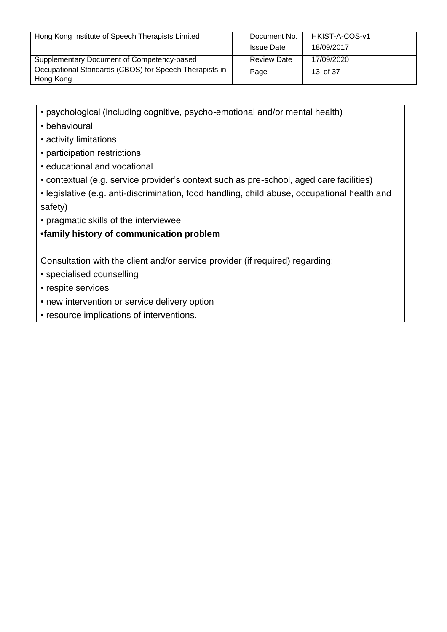| Hong Kong Institute of Speech Therapists Limited       | Document No.       | HKIST-A-COS-v1 |
|--------------------------------------------------------|--------------------|----------------|
|                                                        | <b>Issue Date</b>  | 18/09/2017     |
| Supplementary Document of Competency-based             | <b>Review Date</b> | 17/09/2020     |
| Occupational Standards (CBOS) for Speech Therapists in | Page               | 13 of 37       |
| Hong Kong                                              |                    |                |

- psychological (including cognitive, psycho-emotional and/or mental health)
- behavioural
- activity limitations
- participation restrictions
- educational and vocational
- contextual (e.g. service provider's context such as pre-school, aged care facilities)
- legislative (e.g. anti-discrimination, food handling, child abuse, occupational health and safety)
- pragmatic skills of the interviewee

**•family history of communication problem**

Consultation with the client and/or service provider (if required) regarding:

- specialised counselling
- respite services
- new intervention or service delivery option
- resource implications of interventions.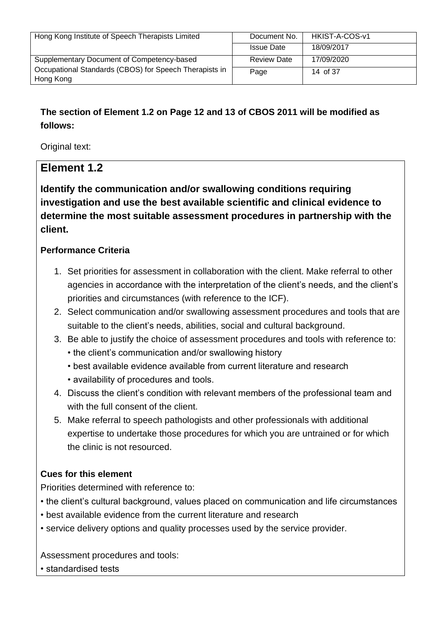| Hong Kong Institute of Speech Therapists Limited       | Document No.       | HKIST-A-COS-v1 |
|--------------------------------------------------------|--------------------|----------------|
|                                                        | <b>Issue Date</b>  | 18/09/2017     |
| Supplementary Document of Competency-based             | <b>Review Date</b> | 17/09/2020     |
| Occupational Standards (CBOS) for Speech Therapists in | Page               | 14 of 37       |
| Hong Kong                                              |                    |                |

# **The section of Element 1.2 on Page 12 and 13 of CBOS 2011 will be modified as follows:**

Original text:

# **Element 1.2**

**Identify the communication and/or swallowing conditions requiring investigation and use the best available scientific and clinical evidence to determine the most suitable assessment procedures in partnership with the client.**

## **Performance Criteria**

- 1. Set priorities for assessment in collaboration with the client. Make referral to other agencies in accordance with the interpretation of the client's needs, and the client's priorities and circumstances (with reference to the ICF).
- 2. Select communication and/or swallowing assessment procedures and tools that are suitable to the client's needs, abilities, social and cultural background.
- 3. Be able to justify the choice of assessment procedures and tools with reference to: • the client's communication and/or swallowing history
	- best available evidence available from current literature and research
	- availability of procedures and tools.
- 4. Discuss the client's condition with relevant members of the professional team and with the full consent of the client.
- 5. Make referral to speech pathologists and other professionals with additional expertise to undertake those procedures for which you are untrained or for which the clinic is not resourced.

## **Cues for this element**

Priorities determined with reference to:

- the client's cultural background, values placed on communication and life circumstances
- best available evidence from the current literature and research
- service delivery options and quality processes used by the service provider.

Assessment procedures and tools:

• standardised tests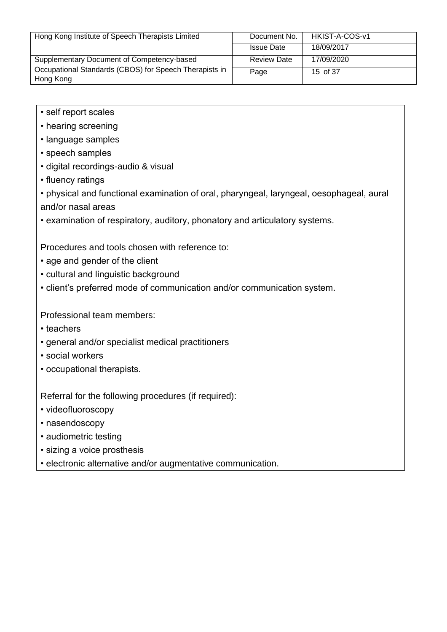| Hong Kong Institute of Speech Therapists Limited                    | Document No.       | HKIST-A-COS-v1 |
|---------------------------------------------------------------------|--------------------|----------------|
|                                                                     | <b>Issue Date</b>  | 18/09/2017     |
| Supplementary Document of Competency-based                          | <b>Review Date</b> | 17/09/2020     |
| Occupational Standards (CBOS) for Speech Therapists in<br>Hong Kong | Page               | 15 of 37       |

- self report scales
- hearing screening
- language samples
- speech samples
- digital recordings-audio & visual
- fluency ratings
- physical and functional examination of oral, pharyngeal, laryngeal, oesophageal, aural and/or nasal areas
- examination of respiratory, auditory, phonatory and articulatory systems.

Procedures and tools chosen with reference to:

- age and gender of the client
- cultural and linguistic background
- client's preferred mode of communication and/or communication system.

Professional team members:

- teachers
- general and/or specialist medical practitioners
- social workers
- occupational therapists.

Referral for the following procedures (if required):

- videofluoroscopy
- nasendoscopy
- audiometric testing
- sizing a voice prosthesis
- electronic alternative and/or augmentative communication.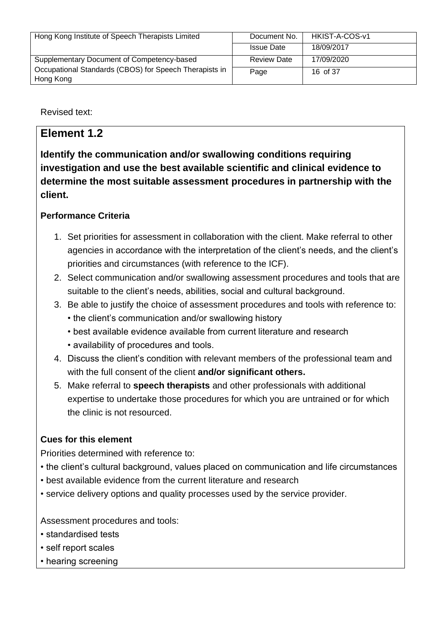| Hong Kong Institute of Speech Therapists Limited       | Document No.       | HKIST-A-COS-v1 |
|--------------------------------------------------------|--------------------|----------------|
|                                                        | <b>Issue Date</b>  | 18/09/2017     |
| Supplementary Document of Competency-based             | <b>Review Date</b> | 17/09/2020     |
| Occupational Standards (CBOS) for Speech Therapists in | Page               | 16 of 37       |
| Hong Kong                                              |                    |                |

Revised text:

# **Element 1.2**

**Identify the communication and/or swallowing conditions requiring investigation and use the best available scientific and clinical evidence to determine the most suitable assessment procedures in partnership with the client.**

## **Performance Criteria**

- 1. Set priorities for assessment in collaboration with the client. Make referral to other agencies in accordance with the interpretation of the client's needs, and the client's priorities and circumstances (with reference to the ICF).
- 2. Select communication and/or swallowing assessment procedures and tools that are suitable to the client's needs, abilities, social and cultural background.
- 3. Be able to justify the choice of assessment procedures and tools with reference to:
	- the client's communication and/or swallowing history
	- best available evidence available from current literature and research
	- availability of procedures and tools.
- 4. Discuss the client's condition with relevant members of the professional team and with the full consent of the client **and/or significant others.**
- 5. Make referral to **speech therapists** and other professionals with additional expertise to undertake those procedures for which you are untrained or for which the clinic is not resourced.

#### **Cues for this element**

Priorities determined with reference to:

- the client's cultural background, values placed on communication and life circumstances
- best available evidence from the current literature and research
- service delivery options and quality processes used by the service provider.

Assessment procedures and tools:

- standardised tests
- self report scales
- hearing screening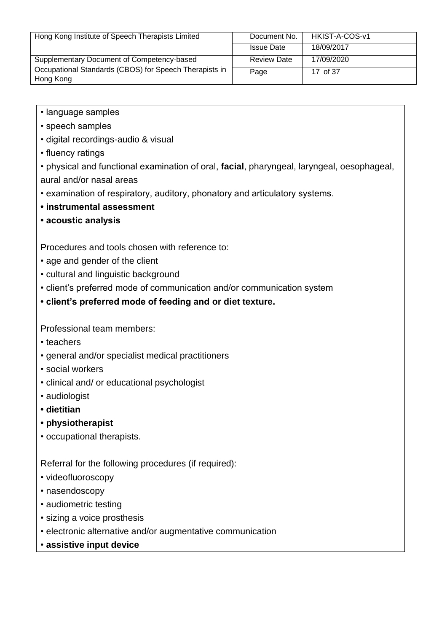| Hong Kong Institute of Speech Therapists Limited                    | Document No.       | HKIST-A-COS-v1 |
|---------------------------------------------------------------------|--------------------|----------------|
|                                                                     | <b>Issue Date</b>  | 18/09/2017     |
| Supplementary Document of Competency-based                          | <b>Review Date</b> | 17/09/2020     |
| Occupational Standards (CBOS) for Speech Therapists in<br>Hong Kong | Page               | 17 of 37       |

- language samples
- speech samples
- digital recordings-audio & visual
- fluency ratings

• physical and functional examination of oral, **facial**, pharyngeal, laryngeal, oesophageal, aural and/or nasal areas

- examination of respiratory, auditory, phonatory and articulatory systems.
- **instrumental assessment**
- **acoustic analysis**

Procedures and tools chosen with reference to:

- age and gender of the client
- cultural and linguistic background
- client's preferred mode of communication and/or communication system
- **client's preferred mode of feeding and or diet texture.**

Professional team members:

- teachers
- general and/or specialist medical practitioners
- social workers
- clinical and/ or educational psychologist
- audiologist
- **dietitian**
- **physiotherapist**
- occupational therapists.

Referral for the following procedures (if required):

- videofluoroscopy
- nasendoscopy
- audiometric testing
- sizing a voice prosthesis
- electronic alternative and/or augmentative communication
- **assistive input device**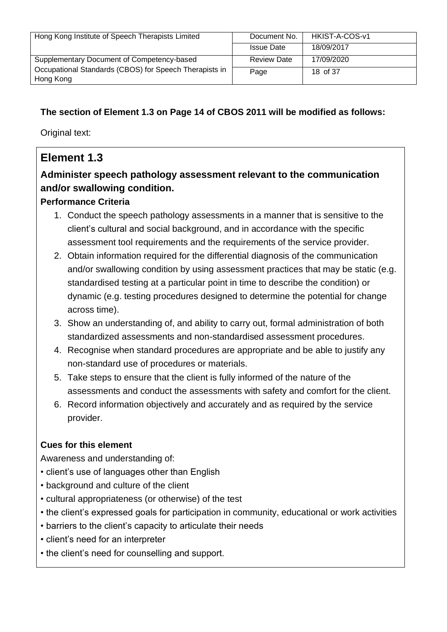| Hong Kong Institute of Speech Therapists Limited       | Document No.       | HKIST-A-COS-v1 |
|--------------------------------------------------------|--------------------|----------------|
|                                                        | <b>Issue Date</b>  | 18/09/2017     |
| Supplementary Document of Competency-based             | <b>Review Date</b> | 17/09/2020     |
| Occupational Standards (CBOS) for Speech Therapists in | Page               | 18 of 37       |
| Hong Kong                                              |                    |                |

## **The section of Element 1.3 on Page 14 of CBOS 2011 will be modified as follows:**

Original text:

# **Element 1.3**

# **Administer speech pathology assessment relevant to the communication and/or swallowing condition.**

## **Performance Criteria**

- 1. Conduct the speech pathology assessments in a manner that is sensitive to the client's cultural and social background, and in accordance with the specific assessment tool requirements and the requirements of the service provider.
- 2. Obtain information required for the differential diagnosis of the communication and/or swallowing condition by using assessment practices that may be static (e.g. standardised testing at a particular point in time to describe the condition) or dynamic (e.g. testing procedures designed to determine the potential for change across time).
- 3. Show an understanding of, and ability to carry out, formal administration of both standardized assessments and non-standardised assessment procedures.
- 4. Recognise when standard procedures are appropriate and be able to justify any non-standard use of procedures or materials.
- 5. Take steps to ensure that the client is fully informed of the nature of the assessments and conduct the assessments with safety and comfort for the client.
- 6. Record information objectively and accurately and as required by the service provider.

## **Cues for this element**

Awareness and understanding of:

- client's use of languages other than English
- background and culture of the client
- cultural appropriateness (or otherwise) of the test
- the client's expressed goals for participation in community, educational or work activities
- barriers to the client's capacity to articulate their needs
- client's need for an interpreter
- the client's need for counselling and support.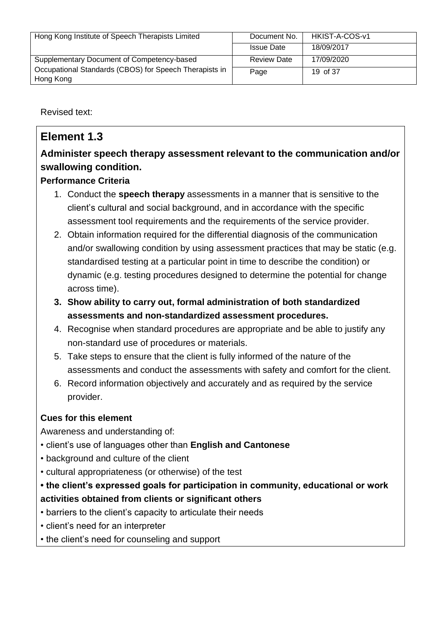| Hong Kong Institute of Speech Therapists Limited       | Document No.       | HKIST-A-COS-v1 |
|--------------------------------------------------------|--------------------|----------------|
|                                                        |                    |                |
|                                                        | <b>Issue Date</b>  | 18/09/2017     |
|                                                        |                    |                |
| Supplementary Document of Competency-based             | <b>Review Date</b> | 17/09/2020     |
|                                                        |                    |                |
| Occupational Standards (CBOS) for Speech Therapists in |                    | 19 of 37       |
|                                                        | Page               |                |
| Hong Kong                                              |                    |                |
|                                                        |                    |                |

Revised text:

# **Element 1.3**

# **Administer speech therapy assessment relevant to the communication and/or swallowing condition.**

## **Performance Criteria**

- 1. Conduct the **speech therapy** assessments in a manner that is sensitive to the client's cultural and social background, and in accordance with the specific assessment tool requirements and the requirements of the service provider.
- 2. Obtain information required for the differential diagnosis of the communication and/or swallowing condition by using assessment practices that may be static (e.g. standardised testing at a particular point in time to describe the condition) or dynamic (e.g. testing procedures designed to determine the potential for change across time).
- **3. Show ability to carry out, formal administration of both standardized assessments and non-standardized assessment procedures.**
- 4. Recognise when standard procedures are appropriate and be able to justify any non-standard use of procedures or materials.
- 5. Take steps to ensure that the client is fully informed of the nature of the assessments and conduct the assessments with safety and comfort for the client.
- 6. Record information objectively and accurately and as required by the service provider.

# **Cues for this element**

Awareness and understanding of:

- client's use of languages other than **English and Cantonese**
- background and culture of the client
- cultural appropriateness (or otherwise) of the test
- **the client's expressed goals for participation in community, educational or work activities obtained from clients or significant others**
- barriers to the client's capacity to articulate their needs
- client's need for an interpreter
- the client's need for counseling and support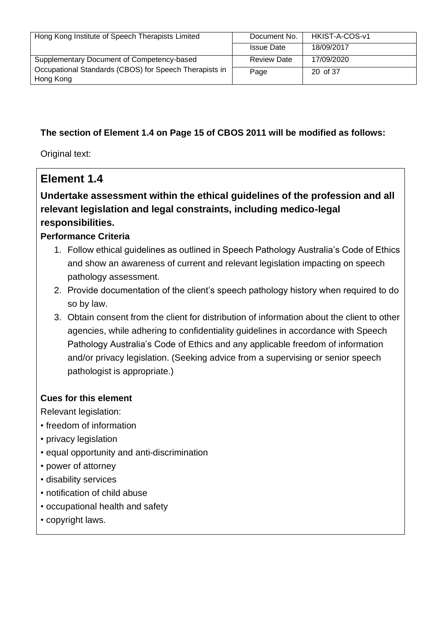| Hong Kong Institute of Speech Therapists Limited       | Document No.       | HKIST-A-COS-v1 |
|--------------------------------------------------------|--------------------|----------------|
|                                                        | <b>Issue Date</b>  | 18/09/2017     |
| Supplementary Document of Competency-based             | <b>Review Date</b> | 17/09/2020     |
| Occupational Standards (CBOS) for Speech Therapists in | Page               | 20 of 37       |
| Hong Kong                                              |                    |                |

## **The section of Element 1.4 on Page 15 of CBOS 2011 will be modified as follows:**

Original text:

# **Element 1.4**

# **Undertake assessment within the ethical guidelines of the profession and all relevant legislation and legal constraints, including medico-legal responsibilities.**

#### **Performance Criteria**

- 1. Follow ethical guidelines as outlined in Speech Pathology Australia's Code of Ethics and show an awareness of current and relevant legislation impacting on speech pathology assessment.
- 2. Provide documentation of the client's speech pathology history when required to do so by law.
- 3. Obtain consent from the client for distribution of information about the client to other agencies, while adhering to confidentiality guidelines in accordance with Speech Pathology Australia's Code of Ethics and any applicable freedom of information and/or privacy legislation. (Seeking advice from a supervising or senior speech pathologist is appropriate.)

#### **Cues for this element**

Relevant legislation:

- freedom of information
- privacy legislation
- equal opportunity and anti-discrimination
- power of attorney
- disability services
- notification of child abuse
- occupational health and safety
- copyright laws.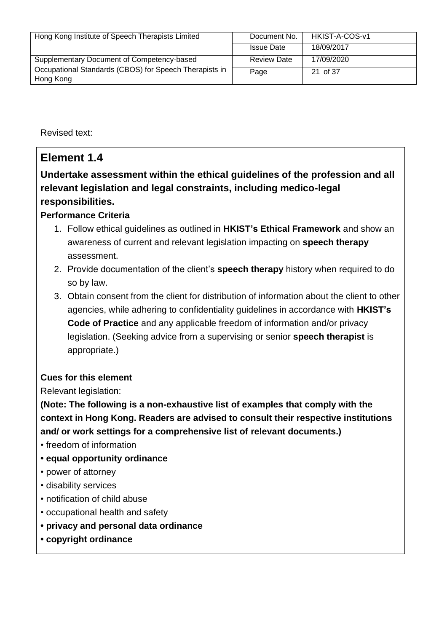| Hong Kong Institute of Speech Therapists Limited                    | Document No.       | HKIST-A-COS-v1 |
|---------------------------------------------------------------------|--------------------|----------------|
|                                                                     | <b>Issue Date</b>  | 18/09/2017     |
| Supplementary Document of Competency-based                          | <b>Review Date</b> | 17/09/2020     |
| Occupational Standards (CBOS) for Speech Therapists in<br>Hong Kong | Page               | 21 of 37       |

Revised text:

# **Element 1.4**

# **Undertake assessment within the ethical guidelines of the profession and all relevant legislation and legal constraints, including medico-legal responsibilities.**

## **Performance Criteria**

- 1. Follow ethical guidelines as outlined in **HKIST's Ethical Framework** and show an awareness of current and relevant legislation impacting on **speech therapy** assessment.
- 2. Provide documentation of the client's **speech therapy** history when required to do so by law.
- 3. Obtain consent from the client for distribution of information about the client to other agencies, while adhering to confidentiality guidelines in accordance with **HKIST's Code of Practice** and any applicable freedom of information and/or privacy legislation. (Seeking advice from a supervising or senior **speech therapist** is appropriate.)

## **Cues for this element**

Relevant legislation:

**(Note: The following is a non-exhaustive list of examples that comply with the context in Hong Kong. Readers are advised to consult their respective institutions and/ or work settings for a comprehensive list of relevant documents.)**

- freedom of information
- **equal opportunity ordinance**
- power of attorney
- disability services
- notification of child abuse
- occupational health and safety
- **• privacy and personal data ordinance**
- **• copyright ordinance**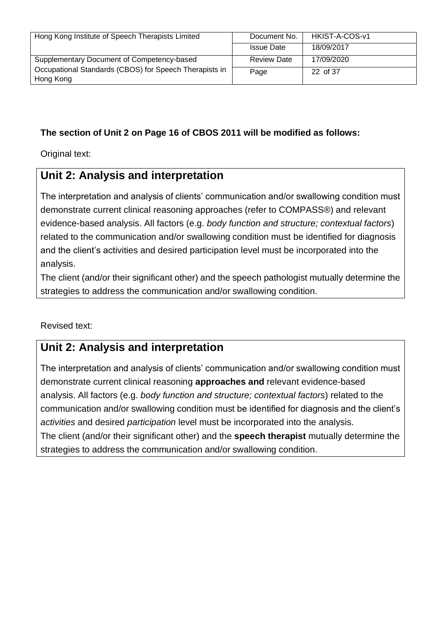| Hong Kong Institute of Speech Therapists Limited       | Document No.       | HKIST-A-COS-v1 |
|--------------------------------------------------------|--------------------|----------------|
|                                                        | <b>Issue Date</b>  | 18/09/2017     |
| Supplementary Document of Competency-based             | <b>Review Date</b> | 17/09/2020     |
| Occupational Standards (CBOS) for Speech Therapists in | Page               | 22 of 37       |
| Hong Kong                                              |                    |                |

## **The section of Unit 2 on Page 16 of CBOS 2011 will be modified as follows:**

Original text:

# **Unit 2: Analysis and interpretation**

The interpretation and analysis of clients' communication and/or swallowing condition must demonstrate current clinical reasoning approaches (refer to COMPASS®) and relevant evidence-based analysis. All factors (e.g. *body function and structure; contextual factors*) related to the communication and/or swallowing condition must be identified for diagnosis and the client's activities and desired participation level must be incorporated into the analysis.

The client (and/or their significant other) and the speech pathologist mutually determine the strategies to address the communication and/or swallowing condition.

Revised text:

# **Unit 2: Analysis and interpretation**

The interpretation and analysis of clients' communication and/or swallowing condition must demonstrate current clinical reasoning **approaches and** relevant evidence-based analysis. All factors (e.g. *body function and structure; contextual factors*) related to the communication and/or swallowing condition must be identified for diagnosis and the client's *activities* and desired *participation* level must be incorporated into the analysis. The client (and/or their significant other) and the **speech therapist** mutually determine the strategies to address the communication and/or swallowing condition.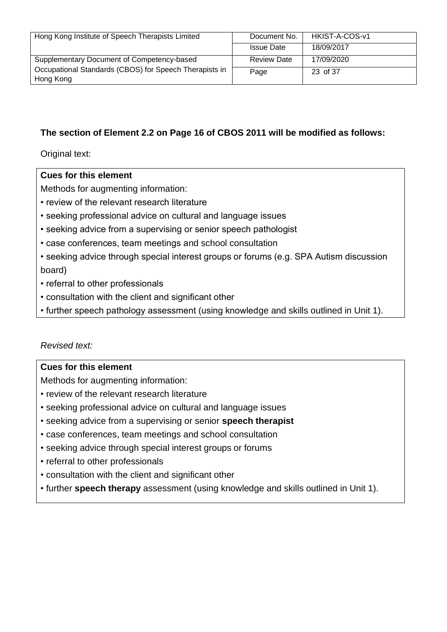| Hong Kong Institute of Speech Therapists Limited                    | Document No.       | HKIST-A-COS-v1 |
|---------------------------------------------------------------------|--------------------|----------------|
|                                                                     | <b>Issue Date</b>  | 18/09/2017     |
| Supplementary Document of Competency-based                          | <b>Review Date</b> | 17/09/2020     |
| Occupational Standards (CBOS) for Speech Therapists in<br>Hong Kong | Page               | 23 of 37       |

#### **The section of Element 2.2 on Page 16 of CBOS 2011 will be modified as follows:**

Original text:

#### **Cues for this element**

Methods for augmenting information:

- review of the relevant research literature
- seeking professional advice on cultural and language issues
- seeking advice from a supervising or senior speech pathologist
- case conferences, team meetings and school consultation
- seeking advice through special interest groups or forums (e.g. SPA Autism discussion board)
- referral to other professionals
- consultation with the client and significant other
- further speech pathology assessment (using knowledge and skills outlined in Unit 1).

#### *Revised text:*

#### **Cues for this element**

Methods for augmenting information:

- review of the relevant research literature
- seeking professional advice on cultural and language issues
- seeking advice from a supervising or senior **speech therapist**
- case conferences, team meetings and school consultation
- seeking advice through special interest groups or forums
- referral to other professionals
- consultation with the client and significant other
- further **speech therapy** assessment (using knowledge and skills outlined in Unit 1).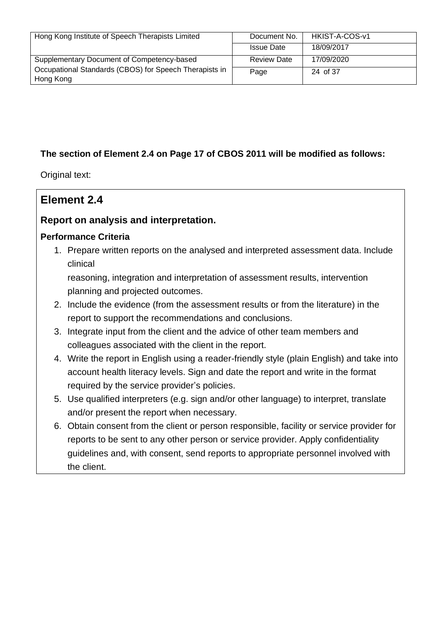| Hong Kong Institute of Speech Therapists Limited                    | Document No.       | HKIST-A-COS-v1 |
|---------------------------------------------------------------------|--------------------|----------------|
|                                                                     | <b>Issue Date</b>  | 18/09/2017     |
| Supplementary Document of Competency-based                          | <b>Review Date</b> | 17/09/2020     |
| Occupational Standards (CBOS) for Speech Therapists in<br>Hong Kong | Page               | 24 of 37       |

## **The section of Element 2.4 on Page 17 of CBOS 2011 will be modified as follows:**

Original text:

# **Element 2.4**

## **Report on analysis and interpretation.**

#### **Performance Criteria**

1. Prepare written reports on the analysed and interpreted assessment data. Include clinical

reasoning, integration and interpretation of assessment results, intervention planning and projected outcomes.

- 2. Include the evidence (from the assessment results or from the literature) in the report to support the recommendations and conclusions.
- 3. Integrate input from the client and the advice of other team members and colleagues associated with the client in the report.
- 4. Write the report in English using a reader-friendly style (plain English) and take into account health literacy levels. Sign and date the report and write in the format required by the service provider's policies.
- 5. Use qualified interpreters (e.g. sign and/or other language) to interpret, translate and/or present the report when necessary.
- 6. Obtain consent from the client or person responsible, facility or service provider for reports to be sent to any other person or service provider. Apply confidentiality guidelines and, with consent, send reports to appropriate personnel involved with the client.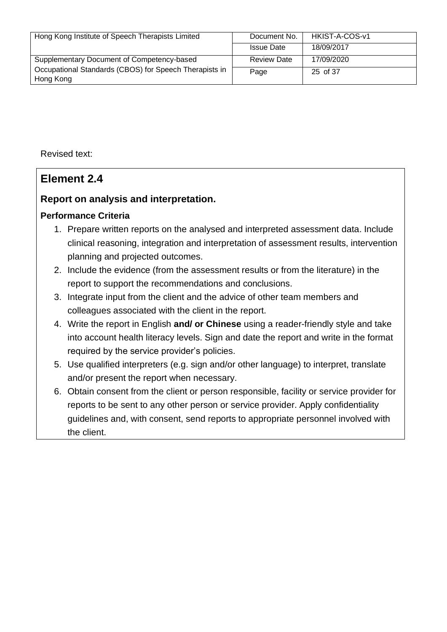| Hong Kong Institute of Speech Therapists Limited                    | Document No.       | HKIST-A-COS-v1 |
|---------------------------------------------------------------------|--------------------|----------------|
|                                                                     | <b>Issue Date</b>  | 18/09/2017     |
| Supplementary Document of Competency-based                          | <b>Review Date</b> | 17/09/2020     |
| Occupational Standards (CBOS) for Speech Therapists in<br>Hong Kong | Page               | 25 of 37       |

Revised text:

# **Element 2.4**

## **Report on analysis and interpretation.**

#### **Performance Criteria**

- 1. Prepare written reports on the analysed and interpreted assessment data. Include clinical reasoning, integration and interpretation of assessment results, intervention planning and projected outcomes.
- 2. Include the evidence (from the assessment results or from the literature) in the report to support the recommendations and conclusions.
- 3. Integrate input from the client and the advice of other team members and colleagues associated with the client in the report.
- 4. Write the report in English **and/ or Chinese** using a reader-friendly style and take into account health literacy levels. Sign and date the report and write in the format required by the service provider's policies.
- 5. Use qualified interpreters (e.g. sign and/or other language) to interpret, translate and/or present the report when necessary.
- 6. Obtain consent from the client or person responsible, facility or service provider for reports to be sent to any other person or service provider. Apply confidentiality guidelines and, with consent, send reports to appropriate personnel involved with the client.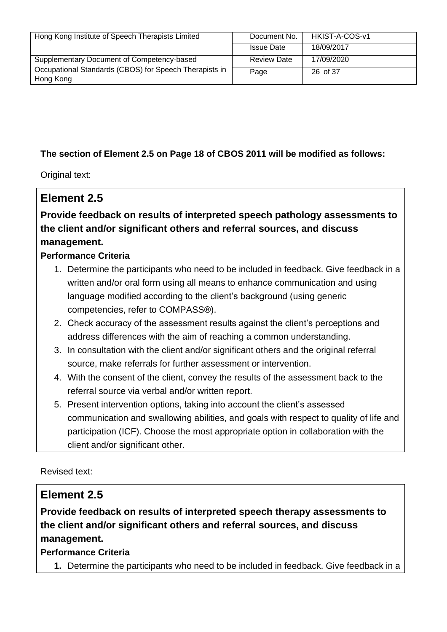| Hong Kong Institute of Speech Therapists Limited       | Document No.       | HKIST-A-COS-v1 |
|--------------------------------------------------------|--------------------|----------------|
|                                                        | <b>Issue Date</b>  | 18/09/2017     |
| Supplementary Document of Competency-based             | <b>Review Date</b> | 17/09/2020     |
| Occupational Standards (CBOS) for Speech Therapists in | Page               | 26 of 37       |
| Hong Kong                                              |                    |                |

## **The section of Element 2.5 on Page 18 of CBOS 2011 will be modified as follows:**

Original text:

# **Element 2.5**

# **Provide feedback on results of interpreted speech pathology assessments to the client and/or significant others and referral sources, and discuss management.**

## **Performance Criteria**

- 1. Determine the participants who need to be included in feedback. Give feedback in a written and/or oral form using all means to enhance communication and using language modified according to the client's background (using generic competencies, refer to COMPASS®).
- 2. Check accuracy of the assessment results against the client's perceptions and address differences with the aim of reaching a common understanding.
- 3. In consultation with the client and/or significant others and the original referral source, make referrals for further assessment or intervention.
- 4. With the consent of the client, convey the results of the assessment back to the referral source via verbal and/or written report.
- 5. Present intervention options, taking into account the client's assessed communication and swallowing abilities, and goals with respect to quality of life and participation (ICF). Choose the most appropriate option in collaboration with the client and/or significant other.

Revised text:

# **Element 2.5**

**Provide feedback on results of interpreted speech therapy assessments to the client and/or significant others and referral sources, and discuss management.**

#### **Performance Criteria**

**1.** Determine the participants who need to be included in feedback. Give feedback in a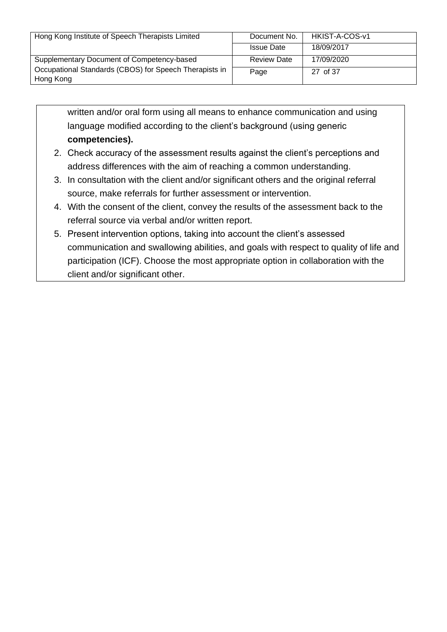| Hong Kong Institute of Speech Therapists Limited                    | Document No.       | HKIST-A-COS-v1 |
|---------------------------------------------------------------------|--------------------|----------------|
|                                                                     | <b>Issue Date</b>  | 18/09/2017     |
| Supplementary Document of Competency-based                          | <b>Review Date</b> | 17/09/2020     |
| Occupational Standards (CBOS) for Speech Therapists in<br>Hong Kong | Page               | 27 of 37       |

written and/or oral form using all means to enhance communication and using language modified according to the client's background (using generic **competencies).**

- 2. Check accuracy of the assessment results against the client's perceptions and address differences with the aim of reaching a common understanding.
- 3. In consultation with the client and/or significant others and the original referral source, make referrals for further assessment or intervention.
- 4. With the consent of the client, convey the results of the assessment back to the referral source via verbal and/or written report.
- 5. Present intervention options, taking into account the client's assessed communication and swallowing abilities, and goals with respect to quality of life and participation (ICF). Choose the most appropriate option in collaboration with the client and/or significant other.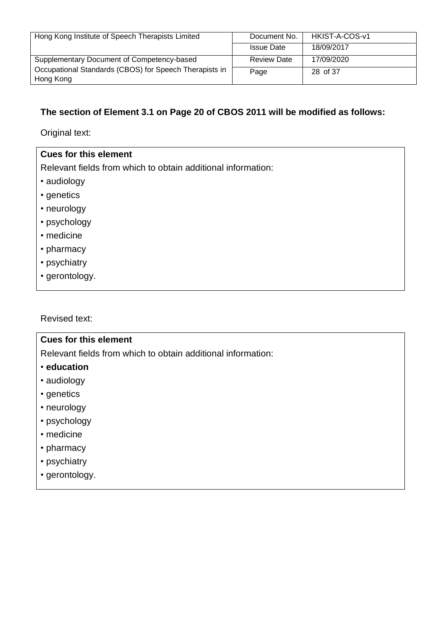| Hong Kong Institute of Speech Therapists Limited       | Document No.       | HKIST-A-COS-v1 |
|--------------------------------------------------------|--------------------|----------------|
|                                                        | <b>Issue Date</b>  | 18/09/2017     |
| Supplementary Document of Competency-based             | <b>Review Date</b> | 17/09/2020     |
| Occupational Standards (CBOS) for Speech Therapists in | Page               | 28 of 37       |
| Hong Kong                                              |                    |                |

#### **The section of Element 3.1 on Page 20 of CBOS 2011 will be modified as follows:**

Original text:

#### **Cues for this element**

Relevant fields from which to obtain additional information:

- audiology
- genetics
- neurology
- psychology
- medicine
- pharmacy
- psychiatry
- gerontology.

Revised text:

#### **Cues for this element**

Relevant fields from which to obtain additional information:

- **education**
- audiology
- genetics
- neurology
- psychology
- medicine
- pharmacy
- psychiatry
- gerontology.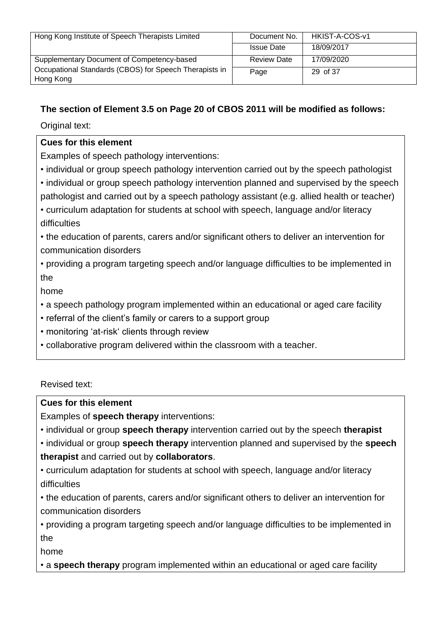| Hong Kong Institute of Speech Therapists Limited                    | Document No.       | HKIST-A-COS-v1 |
|---------------------------------------------------------------------|--------------------|----------------|
|                                                                     | <b>Issue Date</b>  | 18/09/2017     |
| Supplementary Document of Competency-based                          | <b>Review Date</b> | 17/09/2020     |
| Occupational Standards (CBOS) for Speech Therapists in<br>Hong Kong | Page               | 29 of 37       |

## **The section of Element 3.5 on Page 20 of CBOS 2011 will be modified as follows:**

Original text:

#### **Cues for this element**

Examples of speech pathology interventions:

- individual or group speech pathology intervention carried out by the speech pathologist
- individual or group speech pathology intervention planned and supervised by the speech pathologist and carried out by a speech pathology assistant (e.g. allied health or teacher)

• curriculum adaptation for students at school with speech, language and/or literacy difficulties

• the education of parents, carers and/or significant others to deliver an intervention for communication disorders

• providing a program targeting speech and/or language difficulties to be implemented in the

home

- a speech pathology program implemented within an educational or aged care facility
- referral of the client's family or carers to a support group
- monitoring 'at-risk' clients through review
- collaborative program delivered within the classroom with a teacher.

Revised text:

#### **Cues for this element**

Examples of **speech therapy** interventions:

• individual or group **speech therapy** intervention carried out by the speech **therapist**

• individual or group **speech therapy** intervention planned and supervised by the **speech therapist** and carried out by **collaborators**.

• curriculum adaptation for students at school with speech, language and/or literacy difficulties

• the education of parents, carers and/or significant others to deliver an intervention for communication disorders

• providing a program targeting speech and/or language difficulties to be implemented in the

home

• a **speech therapy** program implemented within an educational or aged care facility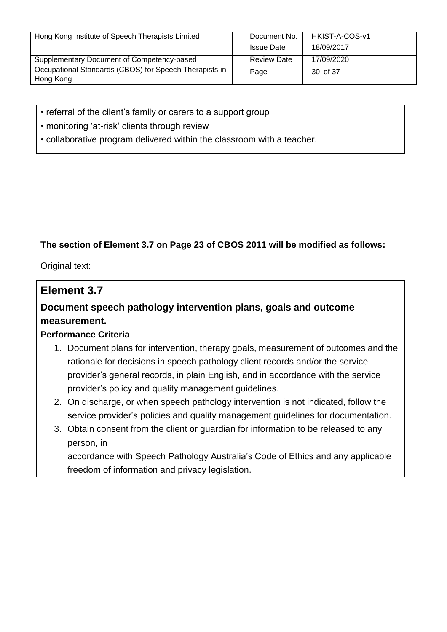| Hong Kong Institute of Speech Therapists Limited                    | Document No.       | HKIST-A-COS-v1 |
|---------------------------------------------------------------------|--------------------|----------------|
|                                                                     | <b>Issue Date</b>  | 18/09/2017     |
| Supplementary Document of Competency-based                          | <b>Review Date</b> | 17/09/2020     |
| Occupational Standards (CBOS) for Speech Therapists in<br>Hong Kong | Page               | 30 of 37       |

- referral of the client's family or carers to a support group
- monitoring 'at-risk' clients through review
- collaborative program delivered within the classroom with a teacher.

## **The section of Element 3.7 on Page 23 of CBOS 2011 will be modified as follows:**

Original text:

## **Element 3.7**

# **Document speech pathology intervention plans, goals and outcome measurement.**

#### **Performance Criteria**

- 1. Document plans for intervention, therapy goals, measurement of outcomes and the rationale for decisions in speech pathology client records and/or the service provider's general records, in plain English, and in accordance with the service provider's policy and quality management guidelines.
- 2. On discharge, or when speech pathology intervention is not indicated, follow the service provider's policies and quality management guidelines for documentation.
- 3. Obtain consent from the client or guardian for information to be released to any person, in

accordance with Speech Pathology Australia's Code of Ethics and any applicable freedom of information and privacy legislation.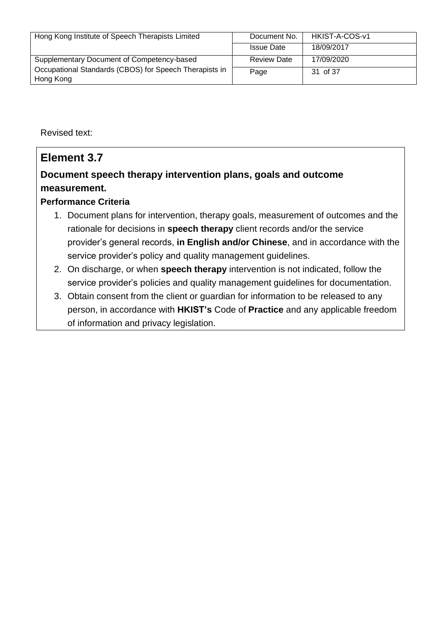| Hong Kong Institute of Speech Therapists Limited       | Document No.       | HKIST-A-COS-v1 |
|--------------------------------------------------------|--------------------|----------------|
|                                                        | <b>Issue Date</b>  | 18/09/2017     |
| Supplementary Document of Competency-based             | <b>Review Date</b> | 17/09/2020     |
| Occupational Standards (CBOS) for Speech Therapists in | Page               | 31 of 37       |
| Hong Kong                                              |                    |                |

Revised text:

# **Element 3.7 Document speech therapy intervention plans, goals and outcome measurement.**

## **Performance Criteria**

- 1. Document plans for intervention, therapy goals, measurement of outcomes and the rationale for decisions in **speech therapy** client records and/or the service provider's general records, **in English and/or Chinese**, and in accordance with the service provider's policy and quality management guidelines.
- 2. On discharge, or when **speech therapy** intervention is not indicated, follow the service provider's policies and quality management guidelines for documentation.
- 3. Obtain consent from the client or guardian for information to be released to any person, in accordance with **HKIST's** Code of **Practice** and any applicable freedom of information and privacy legislation.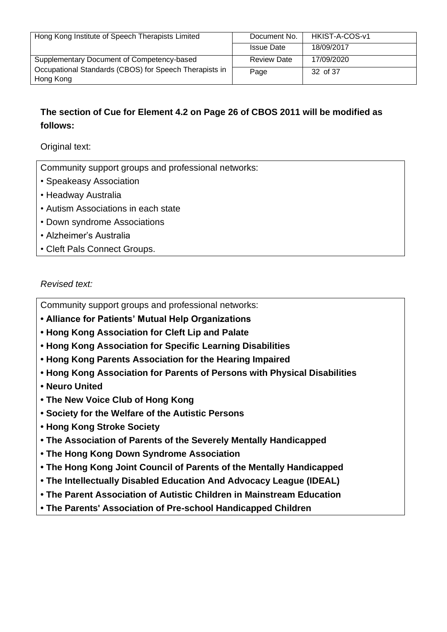| Hong Kong Institute of Speech Therapists Limited       | Document No.       | HKIST-A-COS-v1 |
|--------------------------------------------------------|--------------------|----------------|
|                                                        | <b>Issue Date</b>  | 18/09/2017     |
| Supplementary Document of Competency-based             | <b>Review Date</b> | 17/09/2020     |
| Occupational Standards (CBOS) for Speech Therapists in | Page               | 32 of 37       |
| Hong Kong                                              |                    |                |

## **The section of Cue for Element 4.2 on Page 26 of CBOS 2011 will be modified as follows:**

Original text:

Community support groups and professional networks:

- Speakeasy Association
- Headway Australia
- Autism Associations in each state
- Down syndrome Associations
- Alzheimer's Australia
- Cleft Pals Connect Groups.

#### *Revised text:*

Community support groups and professional networks:

- **• Alliance for Patients' Mutual Help Organizations**
- **• Hong Kong Association for Cleft Lip and Palate**
- **• Hong Kong Association for Specific Learning Disabilities**
- **• Hong Kong Parents Association for the Hearing Impaired**
- **• Hong Kong Association for Parents of Persons with Physical Disabilities**
- **Neuro United**
- **The New Voice Club of Hong Kong**
- **• Society for the Welfare of the Autistic Persons**
- **Hong Kong Stroke Society**
- **• The Association of Parents of the Severely Mentally Handicapped**
- **• The Hong Kong Down Syndrome Association**
- **• The Hong Kong Joint Council of Parents of the Mentally Handicapped**
- **• The Intellectually Disabled Education And Advocacy League (IDEAL)**
- **• The Parent Association of Autistic Children in Mainstream Education**
- **• The Parents' Association of Pre-school Handicapped Children**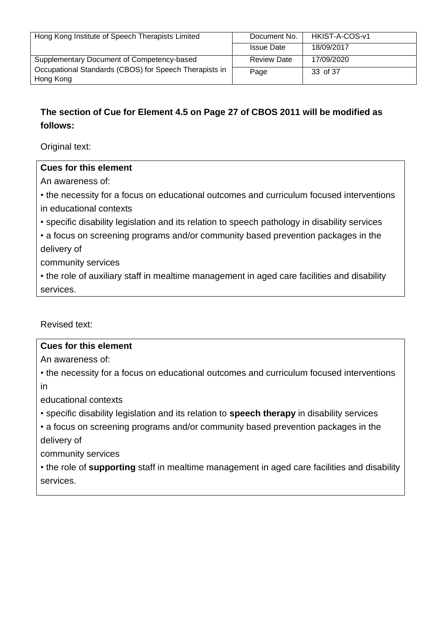| Hong Kong Institute of Speech Therapists Limited       | Document No.       | HKIST-A-COS-v1 |
|--------------------------------------------------------|--------------------|----------------|
|                                                        |                    |                |
|                                                        | <b>Issue Date</b>  | 18/09/2017     |
|                                                        |                    |                |
| Supplementary Document of Competency-based             | <b>Review Date</b> | 17/09/2020     |
|                                                        |                    |                |
| Occupational Standards (CBOS) for Speech Therapists in |                    |                |
|                                                        | Page               | 33 of 37       |
| Hong Kong                                              |                    |                |
|                                                        |                    |                |

## **The section of Cue for Element 4.5 on Page 27 of CBOS 2011 will be modified as follows:**

Original text:

#### **Cues for this element**

An awareness of:

• the necessity for a focus on educational outcomes and curriculum focused interventions in educational contexts

• specific disability legislation and its relation to speech pathology in disability services

• a focus on screening programs and/or community based prevention packages in the delivery of

community services

• the role of auxiliary staff in mealtime management in aged care facilities and disability services.

Revised text:

#### **Cues for this element**

An awareness of:

• the necessity for a focus on educational outcomes and curriculum focused interventions in

educational contexts

• specific disability legislation and its relation to **speech therapy** in disability services

• a focus on screening programs and/or community based prevention packages in the delivery of

community services

• the role of **supporting** staff in mealtime management in aged care facilities and disability services.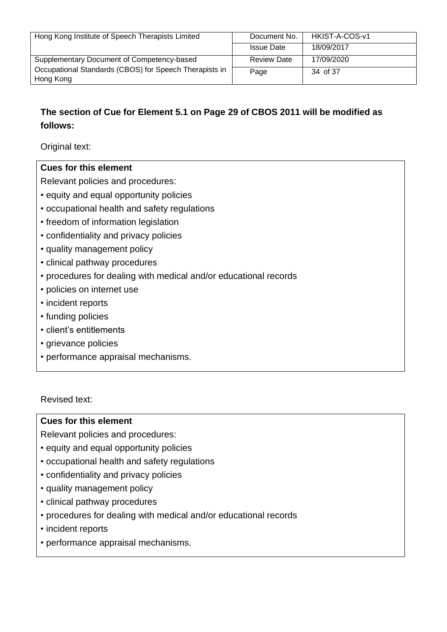| Hong Kong Institute of Speech Therapists Limited       | Document No.       | HKIST-A-COS-v1 |
|--------------------------------------------------------|--------------------|----------------|
|                                                        | <b>Issue Date</b>  | 18/09/2017     |
| Supplementary Document of Competency-based             | <b>Review Date</b> | 17/09/2020     |
| Occupational Standards (CBOS) for Speech Therapists in | Page               | 34 of 37       |
| Hong Kong                                              |                    |                |

## **The section of Cue for Element 5.1 on Page 29 of CBOS 2011 will be modified as follows:**

Original text:

#### **Cues for this element**

Relevant policies and procedures:

- equity and equal opportunity policies
- occupational health and safety regulations
- freedom of information legislation
- confidentiality and privacy policies
- quality management policy
- clinical pathway procedures
- procedures for dealing with medical and/or educational records
- policies on internet use
- incident reports
- funding policies
- client's entitlements
- grievance policies
- performance appraisal mechanisms.

Revised text:

#### **Cues for this element**

Relevant policies and procedures:

- equity and equal opportunity policies
- occupational health and safety regulations
- confidentiality and privacy policies
- quality management policy
- clinical pathway procedures
- procedures for dealing with medical and/or educational records
- incident reports
- performance appraisal mechanisms.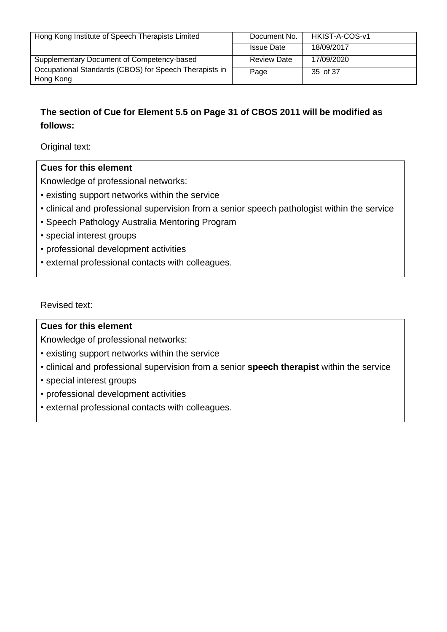| Hong Kong Institute of Speech Therapists Limited       | Document No.       | HKIST-A-COS-v1 |
|--------------------------------------------------------|--------------------|----------------|
|                                                        | <b>Issue Date</b>  | 18/09/2017     |
| Supplementary Document of Competency-based             | <b>Review Date</b> | 17/09/2020     |
| Occupational Standards (CBOS) for Speech Therapists in | Page               | 35 of 37       |
| Hong Kong                                              |                    |                |

## **The section of Cue for Element 5.5 on Page 31 of CBOS 2011 will be modified as follows:**

Original text:

#### **Cues for this element**

Knowledge of professional networks:

- existing support networks within the service
- clinical and professional supervision from a senior speech pathologist within the service
- Speech Pathology Australia Mentoring Program
- special interest groups
- professional development activities
- external professional contacts with colleagues.

Revised text:

#### **Cues for this element**

Knowledge of professional networks:

- existing support networks within the service
- clinical and professional supervision from a senior **speech therapist** within the service
- special interest groups
- professional development activities
- external professional contacts with colleagues.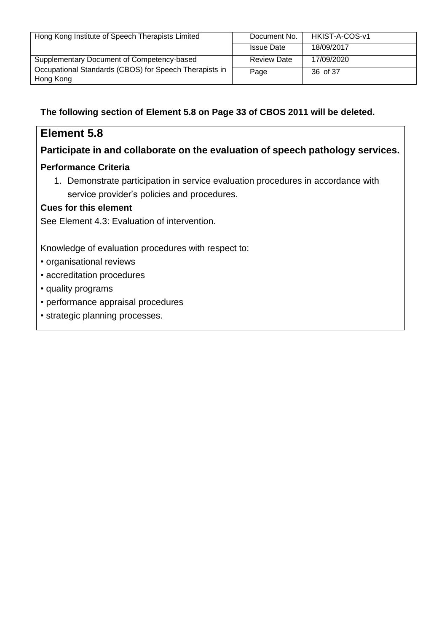| Hong Kong Institute of Speech Therapists Limited       | Document No.       | HKIST-A-COS-v1 |
|--------------------------------------------------------|--------------------|----------------|
|                                                        | <b>Issue Date</b>  | 18/09/2017     |
| Supplementary Document of Competency-based             | <b>Review Date</b> | 17/09/2020     |
| Occupational Standards (CBOS) for Speech Therapists in | Page               | 36 of 37       |
| Hong Kong                                              |                    |                |

## **The following section of Element 5.8 on Page 33 of CBOS 2011 will be deleted.**

# **Element 5.8**

## **Participate in and collaborate on the evaluation of speech pathology services.**

#### **Performance Criteria**

1. Demonstrate participation in service evaluation procedures in accordance with service provider's policies and procedures.

#### **Cues for this element**

See Element 4.3: Evaluation of intervention.

Knowledge of evaluation procedures with respect to:

- organisational reviews
- accreditation procedures
- quality programs
- performance appraisal procedures
- strategic planning processes.